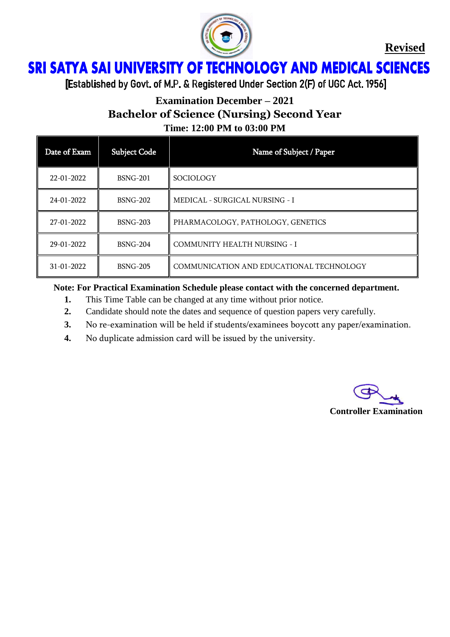

**Revised**

## **SRI SATYA SAI UNIVERSITY OF TECHNOLOGY AND MEDICAL SCIENCES** Ï

[Established by Govt. of M.P. & Registered Under Section 2(F) of UGC Act. 1956]

# **Examination December – 2021 Bachelor of Science (Nursing) Second Year**

**Time: 12:00 PM to 03:00 PM**

| Date of Exam     | <b>Subject Code</b> | Name of Subject / Paper                  |
|------------------|---------------------|------------------------------------------|
| 22-01-2022       | <b>BSNG-201</b>     | SOCIOLOGY                                |
| 24-01-2022       | <b>BSNG-202</b>     | MEDICAL - SURGICAL NURSING - I           |
| 27-01-2022       | <b>BSNG-203</b>     | PHARMACOLOGY, PATHOLOGY, GENETICS        |
| 29-01-2022       | <b>BSNG-204</b>     | <b>COMMUNITY HEALTH NURSING - I</b>      |
| $31 - 01 - 2022$ | <b>BSNG-205</b>     | COMMUNICATION AND EDUCATIONAL TECHNOLOGY |

#### **Note: For Practical Examination Schedule please contact with the concerned department.**

- **1.** This Time Table can be changed at any time without prior notice.
- **2.** Candidate should note the dates and sequence of question papers very carefully.
- **3.** No re-examination will be held if students/examinees boycott any paper/examination.
- **4.** No duplicate admission card will be issued by the university.